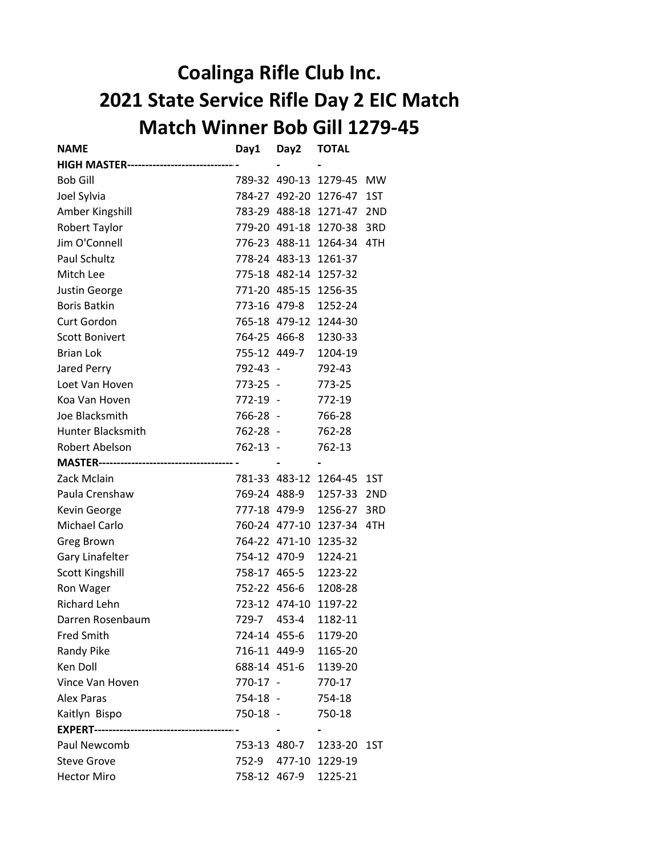## Coalinga Rifle Club Inc. 2021 State Service Rifle Day 2 EIC Match Match Winner Bob Gill 1279-45

| <b>NAME</b>                            | Day1         | Day2          | <b>TOTAL</b>          |                 |
|----------------------------------------|--------------|---------------|-----------------------|-----------------|
| <b>HIGH MASTER-----------</b>          |              |               |                       |                 |
| <b>Bob Gill</b>                        |              |               | 789-32 490-13 1279-45 | <b>MW</b>       |
| Joel Sylvia                            |              |               | 784-27 492-20 1276-47 | 1ST             |
| Amber Kingshill                        |              |               | 783-29 488-18 1271-47 | 2ND             |
| Robert Taylor                          |              |               | 779-20 491-18 1270-38 | 3RD             |
| Jim O'Connell                          |              | 776-23 488-11 | 1264-34               | 4TH             |
| Paul Schultz                           |              |               | 778-24 483-13 1261-37 |                 |
| Mitch Lee                              |              |               | 775-18 482-14 1257-32 |                 |
| <b>Justin George</b>                   |              | 771-20 485-15 | 1256-35               |                 |
| <b>Boris Batkin</b>                    |              | 773-16 479-8  | 1252-24               |                 |
| <b>Curt Gordon</b>                     |              |               | 765-18 479-12 1244-30 |                 |
| <b>Scott Bonivert</b>                  |              | 764-25 466-8  | 1230-33               |                 |
| <b>Brian Lok</b>                       |              | 755-12 449-7  | 1204-19               |                 |
| Jared Perry                            | 792-43 -     |               | 792-43                |                 |
| Loet Van Hoven                         | 773-25 -     |               | 773-25                |                 |
| Koa Van Hoven                          | 772-19 -     |               | 772-19                |                 |
| Joe Blacksmith                         | 766-28 -     |               | 766-28                |                 |
| <b>Hunter Blacksmith</b>               | 762-28 -     |               | 762-28                |                 |
| Robert Abelson                         | 762-13 -     |               | 762-13                |                 |
| <b>MASTER-------------------------</b> |              |               |                       |                 |
| Zack Mclain                            |              |               | 781-33 483-12 1264-45 | 1ST             |
| Paula Crenshaw                         |              | 769-24 488-9  | 1257-33               | 2 <sub>ND</sub> |
| Kevin George                           |              | 777-18 479-9  | 1256-27               | 3RD             |
| Michael Carlo                          |              |               | 760-24 477-10 1237-34 | 4TH             |
| Greg Brown                             |              | 764-22 471-10 | 1235-32               |                 |
| Gary Linafelter                        |              | 754-12 470-9  | 1224-21               |                 |
| <b>Scott Kingshill</b>                 |              | 758-17 465-5  | 1223-22               |                 |
| Ron Wager                              |              | 752-22 456-6  | 1208-28               |                 |
| <b>Richard Lehn</b>                    |              |               | 723-12 474-10 1197-22 |                 |
| Darren Rosenbaum                       | 729-7        | 453-4         | 1182-11               |                 |
| <b>Fred Smith</b>                      | 724-14 455-6 |               | 1179-20               |                 |
| <b>Randy Pike</b>                      | 716-11 449-9 |               | 1165-20               |                 |
| Ken Doll                               |              | 688-14 451-6  | 1139-20               |                 |
| Vince Van Hoven                        | 770-17 -     |               | 770-17                |                 |
| <b>Alex Paras</b>                      | 754-18 -     |               | 754-18                |                 |
| Kaitlyn Bispo                          | 750-18 -     |               | 750-18                |                 |
|                                        |              |               |                       |                 |
| Paul Newcomb                           |              | 753-13 480-7  | 1233-20               | 1ST             |
| <b>Steve Grove</b>                     | 752-9        |               | 477-10 1229-19        |                 |
| <b>Hector Miro</b>                     |              | 758-12 467-9  | 1225-21               |                 |